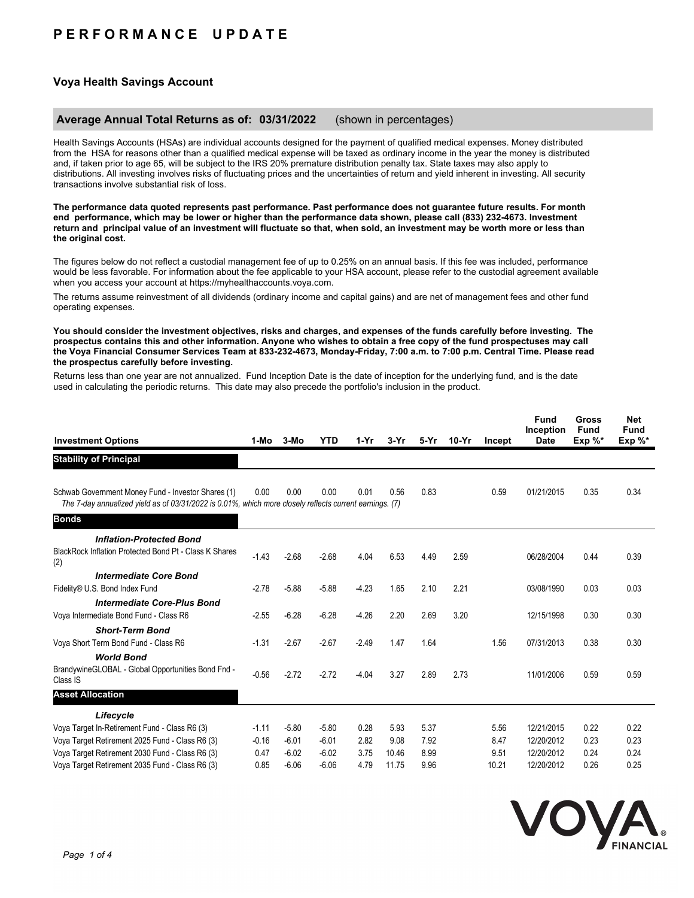# **P E R F O R M A N C E U P D A T E**

## **Voya Health Savings Account**

#### **Average Annual Total Returns as of: 03/31/2022** (shown in percentages)

Health Savings Accounts (HSAs) are individual accounts designed for the payment of qualified medical expenses. Money distributed from the HSA for reasons other than a qualified medical expense will be taxed as ordinary income in the year the money is distributed and, if taken prior to age 65, will be subject to the IRS 20% premature distribution penalty tax. State taxes may also apply to distributions. All investing involves risks of fluctuating prices and the uncertainties of return and yield inherent in investing. All security transactions involve substantial risk of loss.

**The performance data quoted represents past performance. Past performance does not guarantee future results. For month end performance, which may be lower or higher than the performance data shown, please call (833) 232-4673. Investment return and principal value of an investment will fluctuate so that, when sold, an investment may be worth more or less than the original cost.**

The figures below do not reflect a custodial management fee of up to 0.25% on an annual basis. If this fee was included, performance would be less favorable. For information about the fee applicable to your HSA account, please refer to the custodial agreement available when you access your account at https://myhealthaccounts.voya.com.

The returns assume reinvestment of all dividends (ordinary income and capital gains) and are net of management fees and other fund operating expenses.

**You should consider the investment objectives, risks and charges, and expenses of the funds carefully before investing. The prospectus contains this and other information. Anyone who wishes to obtain a free copy of the fund prospectuses may call the Voya Financial Consumer Services Team at 833-232-4673, Monday-Friday, 7:00 a.m. to 7:00 p.m. Central Time. Please read the prospectus carefully before investing.**

Returns less than one year are not annualized. Fund Inception Date is the date of inception for the underlying fund, and is the date used in calculating the periodic returns. This date may also precede the portfolio's inclusion in the product.

| <b>Investment Options</b>                                                                                                                                     | 1-Mo    | $3-MO$  | <b>YTD</b> | $1-Yr$  | $3-Yr$ | 5-Yr | $10-Yr$ | Incept | <b>Fund</b><br>Inception<br><b>Date</b> | <b>Gross</b><br><b>Fund</b><br>Exp $%^*$ | <b>Net</b><br>Fund<br>Exp $\%^*$ |
|---------------------------------------------------------------------------------------------------------------------------------------------------------------|---------|---------|------------|---------|--------|------|---------|--------|-----------------------------------------|------------------------------------------|----------------------------------|
| <b>Stability of Principal</b>                                                                                                                                 |         |         |            |         |        |      |         |        |                                         |                                          |                                  |
| Schwab Government Money Fund - Investor Shares (1)<br>The 7-day annualized yield as of 03/31/2022 is 0.01%, which more closely reflects current earnings. (7) | 0.00    | 0.00    | 0.00       | 0.01    | 0.56   | 0.83 |         | 0.59   | 01/21/2015                              | 0.35                                     | 0.34                             |
| <b>Bonds</b>                                                                                                                                                  |         |         |            |         |        |      |         |        |                                         |                                          |                                  |
| <b>Inflation-Protected Bond</b>                                                                                                                               |         |         |            |         |        |      |         |        |                                         |                                          |                                  |
| BlackRock Inflation Protected Bond Pt - Class K Shares<br>(2)                                                                                                 | $-1.43$ | $-2.68$ | $-2.68$    | 4.04    | 6.53   | 4.49 | 2.59    |        | 06/28/2004                              | 0.44                                     | 0.39                             |
| <b>Intermediate Core Bond</b>                                                                                                                                 |         |         |            |         |        |      |         |        |                                         |                                          |                                  |
| Fidelity® U.S. Bond Index Fund                                                                                                                                | $-2.78$ | $-5.88$ | $-5.88$    | $-4.23$ | 1.65   | 2.10 | 2.21    |        | 03/08/1990                              | 0.03                                     | 0.03                             |
| <b>Intermediate Core-Plus Bond</b>                                                                                                                            |         |         |            |         |        |      |         |        |                                         |                                          |                                  |
| Voya Intermediate Bond Fund - Class R6                                                                                                                        | $-2.55$ | $-6.28$ | $-6.28$    | $-4.26$ | 2.20   | 2.69 | 3.20    |        | 12/15/1998                              | 0.30                                     | 0.30                             |
| <b>Short-Term Bond</b>                                                                                                                                        |         |         |            |         |        |      |         |        |                                         |                                          |                                  |
| Voya Short Term Bond Fund - Class R6                                                                                                                          | $-1.31$ | $-2.67$ | $-2.67$    | $-2.49$ | 1.47   | 1.64 |         | 1.56   | 07/31/2013                              | 0.38                                     | 0.30                             |
| <b>World Bond</b>                                                                                                                                             |         |         |            |         |        |      |         |        |                                         |                                          |                                  |
| BrandywineGLOBAL - Global Opportunities Bond Fnd -<br>Class IS                                                                                                | $-0.56$ | $-2.72$ | $-2.72$    | $-4.04$ | 3.27   | 2.89 | 2.73    |        | 11/01/2006                              | 0.59                                     | 0.59                             |
| <b>Asset Allocation</b>                                                                                                                                       |         |         |            |         |        |      |         |        |                                         |                                          |                                  |
| Lifecycle                                                                                                                                                     |         |         |            |         |        |      |         |        |                                         |                                          |                                  |
| Voya Target In-Retirement Fund - Class R6 (3)                                                                                                                 | $-1.11$ | $-5.80$ | $-5.80$    | 0.28    | 5.93   | 5.37 |         | 5.56   | 12/21/2015                              | 0.22                                     | 0.22                             |
| Voya Target Retirement 2025 Fund - Class R6 (3)                                                                                                               | $-0.16$ | $-6.01$ | $-6.01$    | 2.82    | 9.08   | 7.92 |         | 8.47   | 12/20/2012                              | 0.23                                     | 0.23                             |
| Voya Target Retirement 2030 Fund - Class R6 (3)                                                                                                               | 0.47    | $-6.02$ | $-6.02$    | 3.75    | 10.46  | 8.99 |         | 9.51   | 12/20/2012                              | 0.24                                     | 0.24                             |
| Voya Target Retirement 2035 Fund - Class R6 (3)                                                                                                               | 0.85    | $-6.06$ | $-6.06$    | 4.79    | 11.75  | 9.96 |         | 10.21  | 12/20/2012                              | 0.26                                     | 0.25                             |

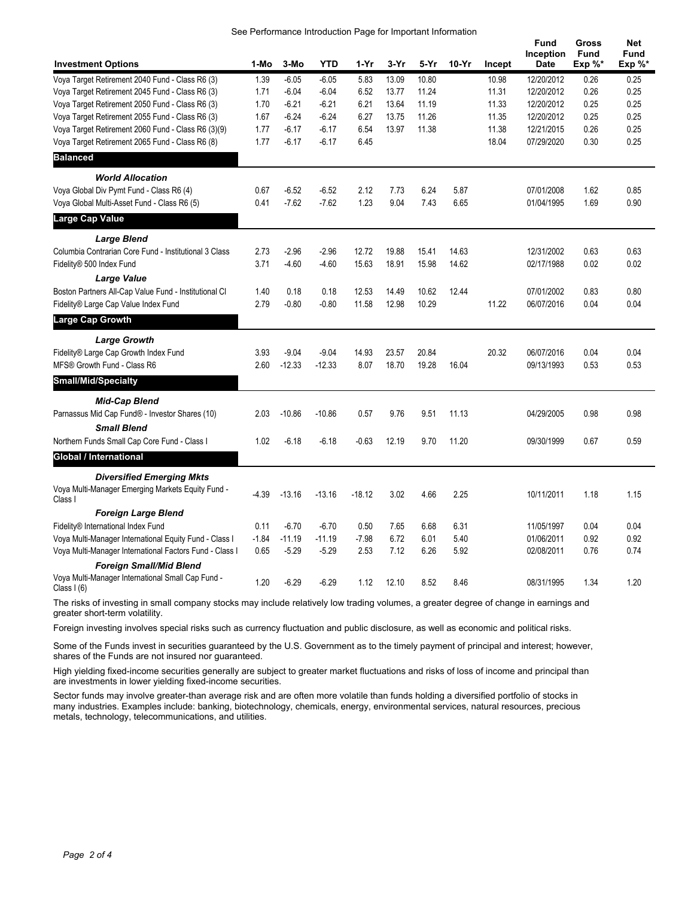| See Performance Introduction Page for Important Information |  |  |  |
|-------------------------------------------------------------|--|--|--|
|                                                             |  |  |  |

| <b>Investment Options</b>                                        | 1-Mo    | 3-Mo     | <b>YTD</b> | $1-Yr$   | $3-Yr$ | 5-Yr  | $10-Yr$ | Incept | <b>Fund</b><br>Inception<br><b>Date</b> | Gross<br><b>Fund</b><br>Exp %* | <b>Net</b><br><b>Fund</b><br>$Exp \%^*$ |
|------------------------------------------------------------------|---------|----------|------------|----------|--------|-------|---------|--------|-----------------------------------------|--------------------------------|-----------------------------------------|
| Voya Target Retirement 2040 Fund - Class R6 (3)                  | 1.39    | $-6.05$  | $-6.05$    | 5.83     | 13.09  | 10.80 |         | 10.98  | 12/20/2012                              | 0.26                           | 0.25                                    |
| Voya Target Retirement 2045 Fund - Class R6 (3)                  | 1.71    | $-6.04$  | $-6.04$    | 6.52     | 13.77  | 11.24 |         | 11.31  | 12/20/2012                              | 0.26                           | 0.25                                    |
| Voya Target Retirement 2050 Fund - Class R6 (3)                  | 1.70    | $-6.21$  | $-6.21$    | 6.21     | 13.64  | 11.19 |         | 11.33  | 12/20/2012                              | 0.25                           | 0.25                                    |
| Voya Target Retirement 2055 Fund - Class R6 (3)                  | 1.67    | $-6.24$  | $-6.24$    | 6.27     | 13.75  | 11.26 |         | 11.35  | 12/20/2012                              | 0.25                           | 0.25                                    |
| Voya Target Retirement 2060 Fund - Class R6 (3)(9)               | 1.77    | $-6.17$  | $-6.17$    | 6.54     | 13.97  | 11.38 |         | 11.38  | 12/21/2015                              | 0.26                           | 0.25                                    |
| Voya Target Retirement 2065 Fund - Class R6 (8)                  | 1.77    | $-6.17$  | $-6.17$    | 6.45     |        |       |         | 18.04  | 07/29/2020                              | 0.30                           | 0.25                                    |
| <b>Balanced</b>                                                  |         |          |            |          |        |       |         |        |                                         |                                |                                         |
| <b>World Allocation</b>                                          |         |          |            |          |        |       |         |        |                                         |                                |                                         |
| Voya Global Div Pymt Fund - Class R6 (4)                         | 0.67    | $-6.52$  | $-6.52$    | 2.12     | 7.73   | 6.24  | 5.87    |        | 07/01/2008                              | 1.62                           | 0.85                                    |
| Voya Global Multi-Asset Fund - Class R6 (5)                      | 0.41    | $-7.62$  | $-7.62$    | 1.23     | 9.04   | 7.43  | 6.65    |        | 01/04/1995                              | 1.69                           | 0.90                                    |
| Large Cap Value                                                  |         |          |            |          |        |       |         |        |                                         |                                |                                         |
| <b>Large Blend</b>                                               |         |          |            |          |        |       |         |        |                                         |                                |                                         |
| Columbia Contrarian Core Fund - Institutional 3 Class            | 2.73    | $-2.96$  | $-2.96$    | 12.72    | 19.88  | 15.41 | 14.63   |        | 12/31/2002                              | 0.63                           | 0.63                                    |
| Fidelity® 500 Index Fund                                         | 3.71    | $-4.60$  | $-4.60$    | 15.63    | 18.91  | 15.98 | 14.62   |        | 02/17/1988                              | 0.02                           | 0.02                                    |
| <b>Large Value</b>                                               |         |          |            |          |        |       |         |        |                                         |                                |                                         |
| Boston Partners All-Cap Value Fund - Institutional Cl            | 1.40    | 0.18     | 0.18       | 12.53    | 14.49  | 10.62 | 12.44   |        | 07/01/2002                              | 0.83                           | 0.80                                    |
| Fidelity® Large Cap Value Index Fund                             | 2.79    | $-0.80$  | $-0.80$    | 11.58    | 12.98  | 10.29 |         | 11.22  | 06/07/2016                              | 0.04                           | 0.04                                    |
| Large Cap Growth                                                 |         |          |            |          |        |       |         |        |                                         |                                |                                         |
| <b>Large Growth</b>                                              |         |          |            |          |        |       |         |        |                                         |                                |                                         |
| Fidelity® Large Cap Growth Index Fund                            | 3.93    | $-9.04$  | $-9.04$    | 14.93    | 23.57  | 20.84 |         | 20.32  | 06/07/2016                              | 0.04                           | 0.04                                    |
| MFS® Growth Fund - Class R6                                      | 2.60    | $-12.33$ | $-12.33$   | 8.07     | 18.70  | 19.28 | 16.04   |        | 09/13/1993                              | 0.53                           | 0.53                                    |
| Small/Mid/Specialty                                              |         |          |            |          |        |       |         |        |                                         |                                |                                         |
| <b>Mid-Cap Blend</b>                                             |         |          |            |          |        |       |         |        |                                         |                                |                                         |
| Parnassus Mid Cap Fund® - Investor Shares (10)                   | 2.03    | $-10.86$ | $-10.86$   | 0.57     | 9.76   | 9.51  | 11.13   |        | 04/29/2005                              | 0.98                           | 0.98                                    |
| <b>Small Blend</b>                                               |         |          |            |          |        |       |         |        |                                         |                                |                                         |
| Northern Funds Small Cap Core Fund - Class I                     | 1.02    | $-6.18$  | $-6.18$    | $-0.63$  | 12.19  | 9.70  | 11.20   |        | 09/30/1999                              | 0.67                           | 0.59                                    |
| <b>Global / International</b>                                    |         |          |            |          |        |       |         |        |                                         |                                |                                         |
| <b>Diversified Emerging Mkts</b>                                 |         |          |            |          |        |       |         |        |                                         |                                |                                         |
| Voya Multi-Manager Emerging Markets Equity Fund -<br>Class I     | $-4.39$ | $-13.16$ | $-13.16$   | $-18.12$ | 3.02   | 4.66  | 2.25    |        | 10/11/2011                              | 1.18                           | 1.15                                    |
| <b>Foreign Large Blend</b>                                       |         |          |            |          |        |       |         |        |                                         |                                |                                         |
| Fidelity® International Index Fund                               | 0.11    | $-6.70$  | $-6.70$    | 0.50     | 7.65   | 6.68  | 6.31    |        | 11/05/1997                              | 0.04                           | 0.04                                    |
| Voya Multi-Manager International Equity Fund - Class I           | $-1.84$ | $-11.19$ | $-11.19$   | $-7.98$  | 6.72   | 6.01  | 5.40    |        | 01/06/2011                              | 0.92                           | 0.92                                    |
| Voya Multi-Manager International Factors Fund - Class I          | 0.65    | $-5.29$  | $-5.29$    | 2.53     | 7.12   | 6.26  | 5.92    |        | 02/08/2011                              | 0.76                           | 0.74                                    |
| <b>Foreign Small/Mid Blend</b>                                   |         |          |            |          |        |       |         |        |                                         |                                |                                         |
| Voya Multi-Manager International Small Cap Fund -<br>Class $(6)$ | 1.20    | $-6.29$  | $-6.29$    | 1.12     | 12.10  | 8.52  | 8.46    |        | 08/31/1995                              | 1.34                           | 1.20                                    |

The risks of investing in small company stocks may include relatively low trading volumes, a greater degree of change in earnings and greater short-term volatility.

Foreign investing involves special risks such as currency fluctuation and public disclosure, as well as economic and political risks.

Some of the Funds invest in securities guaranteed by the U.S. Government as to the timely payment of principal and interest; however, shares of the Funds are not insured nor guaranteed.

High yielding fixed-income securities generally are subject to greater market fluctuations and risks of loss of income and principal than are investments in lower yielding fixed-income securities.

Sector funds may involve greater-than average risk and are often more volatile than funds holding a diversified portfolio of stocks in many industries. Examples include: banking, biotechnology, chemicals, energy, environmental services, natural resources, precious metals, technology, telecommunications, and utilities.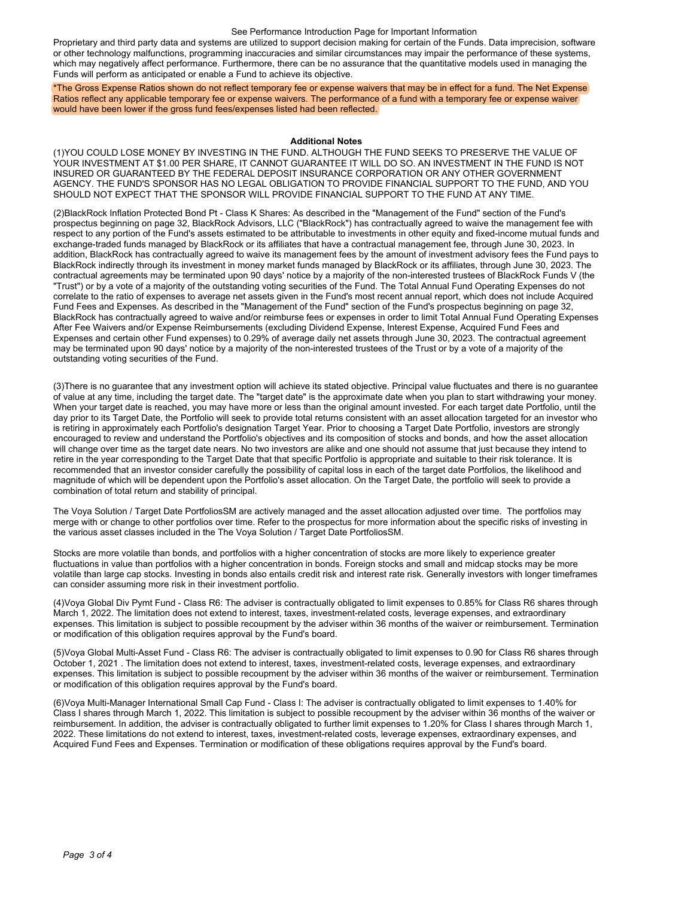#### See Performance Introduction Page for Important Information

Proprietary and third party data and systems are utilized to support decision making for certain of the Funds. Data imprecision, software or other technology malfunctions, programming inaccuracies and similar circumstances may impair the performance of these systems, which may negatively affect performance. Furthermore, there can be no assurance that the quantitative models used in managing the Funds will perform as anticipated or enable a Fund to achieve its objective.

\*The Gross Expense Ratios shown do not reflect temporary fee or expense waivers that may be in effect for a fund. The Net Expense Ratios reflect any applicable temporary fee or expense waivers. The performance of a fund with a temporary fee or expense waiver would have been lower if the gross fund fees/expenses listed had been reflected.

#### **Additional Notes**

(1)YOU COULD LOSE MONEY BY INVESTING IN THE FUND. ALTHOUGH THE FUND SEEKS TO PRESERVE THE VALUE OF YOUR INVESTMENT AT \$1.00 PER SHARE, IT CANNOT GUARANTEE IT WILL DO SO. AN INVESTMENT IN THE FUND IS NOT INSURED OR GUARANTEED BY THE FEDERAL DEPOSIT INSURANCE CORPORATION OR ANY OTHER GOVERNMENT AGENCY. THE FUND'S SPONSOR HAS NO LEGAL OBLIGATION TO PROVIDE FINANCIAL SUPPORT TO THE FUND, AND YOU SHOULD NOT EXPECT THAT THE SPONSOR WILL PROVIDE FINANCIAL SUPPORT TO THE FUND AT ANY TIME.

(2)BlackRock Inflation Protected Bond Pt - Class K Shares: As described in the "Management of the Fund" section of the Fund's prospectus beginning on page 32, BlackRock Advisors, LLC ("BlackRock") has contractually agreed to waive the management fee with respect to any portion of the Fund's assets estimated to be attributable to investments in other equity and fixed-income mutual funds and exchange-traded funds managed by BlackRock or its affiliates that have a contractual management fee, through June 30, 2023. In addition, BlackRock has contractually agreed to waive its management fees by the amount of investment advisory fees the Fund pays to BlackRock indirectly through its investment in money market funds managed by BlackRock or its affiliates, through June 30, 2023. The contractual agreements may be terminated upon 90 days' notice by a majority of the non-interested trustees of BlackRock Funds V (the "Trust") or by a vote of a majority of the outstanding voting securities of the Fund. The Total Annual Fund Operating Expenses do not correlate to the ratio of expenses to average net assets given in the Fund's most recent annual report, which does not include Acquired Fund Fees and Expenses. As described in the "Management of the Fund" section of the Fund's prospectus beginning on page 32, BlackRock has contractually agreed to waive and/or reimburse fees or expenses in order to limit Total Annual Fund Operating Expenses After Fee Waivers and/or Expense Reimbursements (excluding Dividend Expense, Interest Expense, Acquired Fund Fees and Expenses and certain other Fund expenses) to 0.29% of average daily net assets through June 30, 2023. The contractual agreement may be terminated upon 90 days' notice by a majority of the non-interested trustees of the Trust or by a vote of a majority of the outstanding voting securities of the Fund.

(3)There is no guarantee that any investment option will achieve its stated objective. Principal value fluctuates and there is no guarantee of value at any time, including the target date. The "target date" is the approximate date when you plan to start withdrawing your money. When your target date is reached, you may have more or less than the original amount invested. For each target date Portfolio, until the day prior to its Target Date, the Portfolio will seek to provide total returns consistent with an asset allocation targeted for an investor who is retiring in approximately each Portfolio's designation Target Year. Prior to choosing a Target Date Portfolio, investors are strongly encouraged to review and understand the Portfolio's objectives and its composition of stocks and bonds, and how the asset allocation will change over time as the target date nears. No two investors are alike and one should not assume that just because they intend to retire in the year corresponding to the Target Date that that specific Portfolio is appropriate and suitable to their risk tolerance. It is recommended that an investor consider carefully the possibility of capital loss in each of the target date Portfolios, the likelihood and magnitude of which will be dependent upon the Portfolio's asset allocation. On the Target Date, the portfolio will seek to provide a combination of total return and stability of principal.

The Voya Solution / Target Date PortfoliosSM are actively managed and the asset allocation adjusted over time. The portfolios may merge with or change to other portfolios over time. Refer to the prospectus for more information about the specific risks of investing in the various asset classes included in the The Voya Solution / Target Date PortfoliosSM.

Stocks are more volatile than bonds, and portfolios with a higher concentration of stocks are more likely to experience greater fluctuations in value than portfolios with a higher concentration in bonds. Foreign stocks and small and midcap stocks may be more volatile than large cap stocks. Investing in bonds also entails credit risk and interest rate risk. Generally investors with longer timeframes can consider assuming more risk in their investment portfolio.

(4)Voya Global Div Pymt Fund - Class R6: The adviser is contractually obligated to limit expenses to 0.85% for Class R6 shares through March 1, 2022. The limitation does not extend to interest, taxes, investment-related costs, leverage expenses, and extraordinary expenses. This limitation is subject to possible recoupment by the adviser within 36 months of the waiver or reimbursement. Termination or modification of this obligation requires approval by the Fund's board.

(5)Voya Global Multi-Asset Fund - Class R6: The adviser is contractually obligated to limit expenses to 0.90 for Class R6 shares through October 1, 2021 . The limitation does not extend to interest, taxes, investment-related costs, leverage expenses, and extraordinary expenses. This limitation is subject to possible recoupment by the adviser within 36 months of the waiver or reimbursement. Termination or modification of this obligation requires approval by the Fund's board.

(6)Voya Multi-Manager International Small Cap Fund - Class I: The adviser is contractually obligated to limit expenses to 1.40% for Class I shares through March 1, 2022. This limitation is subject to possible recoupment by the adviser within 36 months of the waiver or reimbursement. In addition, the adviser is contractually obligated to further limit expenses to 1.20% for Class I shares through March 1, 2022. These limitations do not extend to interest, taxes, investment-related costs, leverage expenses, extraordinary expenses, and Acquired Fund Fees and Expenses. Termination or modification of these obligations requires approval by the Fund's board.